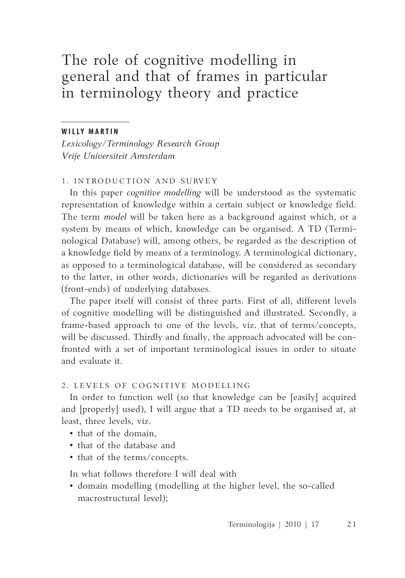# The role of cognitive modelling in general and that of frames in particular in terminology theory and practice

#### **W il l y M a r tin**

*Lexicology/Terminology Research Group Vrije Universiteit Amsterdam*

## 1. INTRODUCTION AND SURVEY

In this paper *cognitive modelling* will be understood as the systematic representation of knowledge within a certain subject or knowledge field. The term *model* will be taken here as a background against which, or a system by means of which, knowledge can be organised. A TD (Terminological Database) will, among others, be regarded as the description of a knowledge field by means of a terminology. A terminological dictionary, as opposed to a terminological database, will be considered as secondary to the latter, in other words, dictionaries will be regarded as derivations (front-ends) of underlying databases.

The paper itself will consist of three parts. First of all, different levels of cognitive modelling will be distinguished and illustrated. Secondly, a frame-based approach to one of the levels, viz. that of terms/concepts, will be discussed. Thirdly and finally, the approach advocated will be confronted with a set of important terminological issues in order to situate and evaluate it.

#### 2. LEVELS OF COGNITIVE MODELLING

In order to function well (so that knowledge can be [easily] acquired and [properly] used), I will argue that a TD needs to be organised at, at least, three levels, viz.

- that of the domain,
- that of the database and
- that of the terms/concepts.

In what follows therefore I will deal with

• domain modelling (modelling at the higher level, the so-called macrostructural level);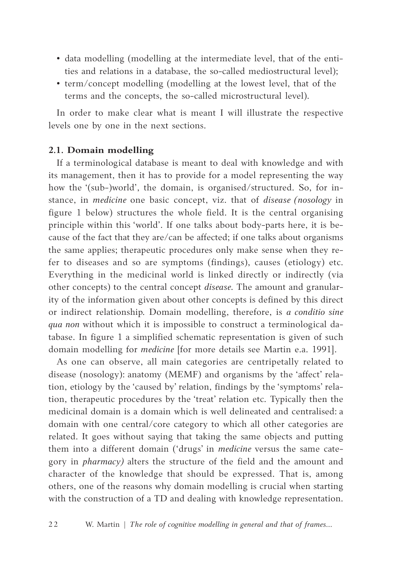- data modelling (modelling at the intermediate level, that of the entities and relations in a database, the so-called mediostructural level);
- term/concept modelling (modelling at the lowest level, that of the terms and the concepts, the so-called microstructural level).

In order to make clear what is meant I will illustrate the respective levels one by one in the next sections.

## **2.1. Domain modelling**

If a terminological database is meant to deal with knowledge and with its management, then it has to provide for a model representing the way how the '(sub-)world', the domain, is organised/structured. So, for instance, in *medicine* one basic concept, viz. that of *disease (nosology* in figure 1 below) structures the whole field. It is the central organising principle within this 'world'. If one talks about body-parts here, it is because of the fact that they are/can be affected; if one talks about organisms the same applies; therapeutic procedures only make sense when they refer to diseases and so are symptoms (findings), causes (etiology) etc. Everything in the medicinal world is linked directly or indirectly (via other concepts) to the central concept *disease.* The amount and granularity of the information given about other concepts is defined by this direct or indirect relationship. Domain modelling, therefore, is *a conditio sine qua non* without which it is impossible to construct a terminological database. In figure 1 a simplified schematic representation is given of such domain modelling for *medicine* [for more details see Martin e.a. 1991].

As one can observe, all main categories are centripetally related to disease (nosology): anatomy (MEMF) and organisms by the 'affect' relation, etiology by the 'caused by' relation, findings by the 'symptoms' relation, therapeutic procedures by the 'treat' relation etc. Typically then the medicinal domain is a domain which is well delineated and centralised: a domain with one central/core category to which all other categories are related. It goes without saying that taking the same objects and putting them into a different domain ('drugs' in *medicine* versus the same category in *pharmacy)* alters the structure of the field and the amount and character of the knowledge that should be expressed. That is, among others, one of the reasons why domain modelling is crucial when starting with the construction of a TD and dealing with knowledge representation.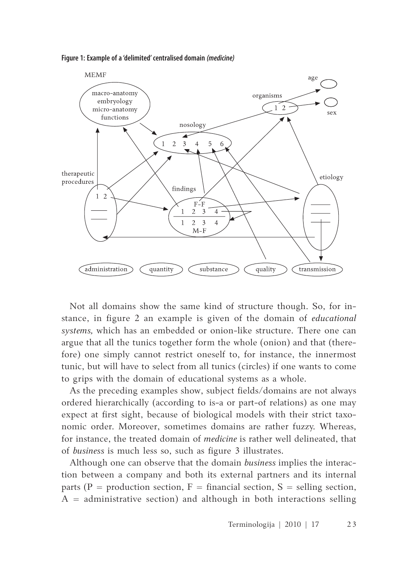**Figure 1: Example of a 'delimited' centralised domain** *(medicine)*



Not all domains show the same kind of structure though. So, for instance, in figure 2 an example is given of the domain of *educational systems,* which has an embedded or onion-like structure. There one can argue that all the tunics together form the whole (onion) and that (therefore) one simply cannot restrict oneself to, for instance, the innermost tunic, but will have to select from all tunics (circles) if one wants to come to grips with the domain of educational systems as a whole.

As the preceding examples show, subject fields/domains are not always ordered hierarchically (according to is-a or part-of relations) as one may expect at first sight, because of biological models with their strict taxonomic order. Moreover, sometimes domains are rather fuzzy. Whereas, for instance, the treated domain of *medicine* is rather well delineated, that of *business* is much less so, such as figure 3 illustrates.

Although one can observe that the domain *business* implies the interaction between a company and both its external partners and its internal parts (P = production section, F = financial section, S = selling section,  $A =$  administrative section) and although in both interactions selling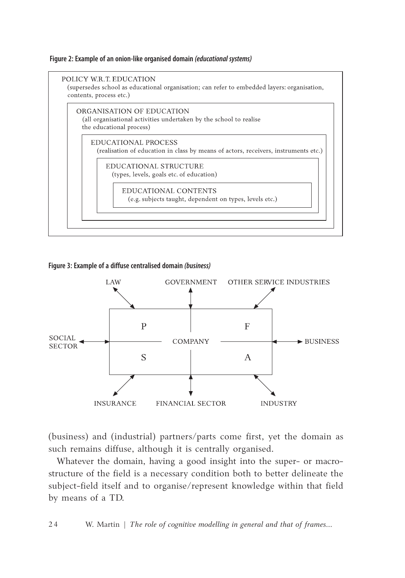#### **Figure 2: Example of an onion-like organised domain** *(educational systems)*



#### **Figure 3: Example of a diffuse centralised domain** *(business)*



(business) and (industrial) partners/parts come first, yet the domain as such remains diffuse, although it is centrally organised.

Whatever the domain, having a good insight into the super- or macrostructure of the field is a necessary condition both to better delineate the subject-field itself and to organise/represent knowledge within that field by means of a TD.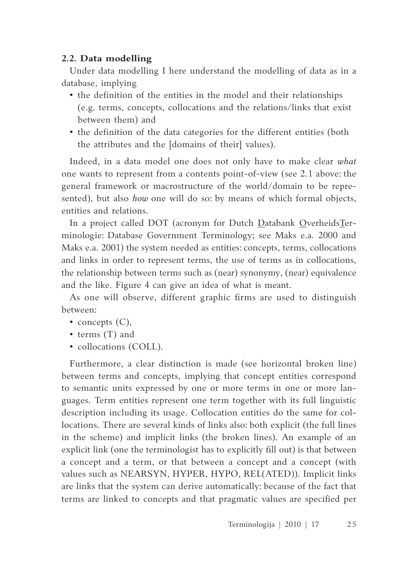## **2.2. Data modelling**

Under data modelling I here understand the modelling of data as in a database, implying

- the definition of the entities in the model and their relationships (e.g. terms, concepts, collocations and the relations/links that exist between them) and
- the definition of the data categories for the different entities (both the attributes and the [domains of their] values).

Indeed, in a data model one does not only have to make clear *what* one wants to represent from a contents point-of-view (see 2.1 above: the general framework or macrostructure of the world/domain to be represented), but also *how* one will do so: by means of which formal objects, entities and relations.

In a project called DOT (acronym for Dutch Databank OverheidsTerminologie: Database Government Terminology; see Maks e.a. 2000 and Maks e.a. 2001) the system needed as entities: concepts, terms, collocations and links in order to represent terms, the use of terms as in collocations, the relationship between terms such as (near) synonymy, (near) equivalence and the like. Figure 4 can give an idea of what is meant.

As one will observe, different graphic firms are used to distinguish between:

- concepts  $(C)$ ,
- terms (T) and
- collocations (COLL).

Furthermore, a clear distinction is made (see horizontal broken line) between terms and concepts, implying that concept entities correspond to semantic units expressed by one or more terms in one or more languages. Term entities represent one term together with its full linguistic description including its usage. Collocation entities do the same for collocations. There are several kinds of links also: both explicit (the full lines in the scheme) and implicit links (the broken lines). An example of an explicit link (one the terminologist has to explicitly fill out) is that between a concept and a term, or that between a concept and a concept (with values such as NEARSYN, HYPER, HYPO, REL(ATED)). Implicit links are links that the system can derive automatically: because of the fact that terms are linked to concepts and that pragmatic values are specified per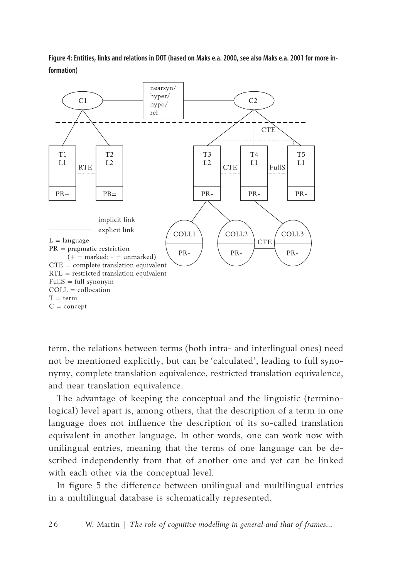**Figure 4: Entities, links and relations in DOT (based on Maks e.a. 2000, see also Maks e.a. 2001 for more information)**



term, the relations between terms (both intra- and interlingual ones) need not be mentioned explicitly, but can be 'calculated', leading to full synonymy, complete translation equivalence, restricted translation equivalence, and near translation equivalence.

The advantage of keeping the conceptual and the linguistic (terminological) level apart is, among others, that the description of a term in one language does not influence the description of its so-called translation equivalent in another language. In other words, one can work now with unilingual entries, meaning that the terms of one language can be described independently from that of another one and yet can be linked with each other via the conceptual level.

In figure 5 the difference between unilingual and multilingual entries in a multilingual database is schematically represented.

2 6 W. Martin | *The role of cognitive modelling in general and that of frames...*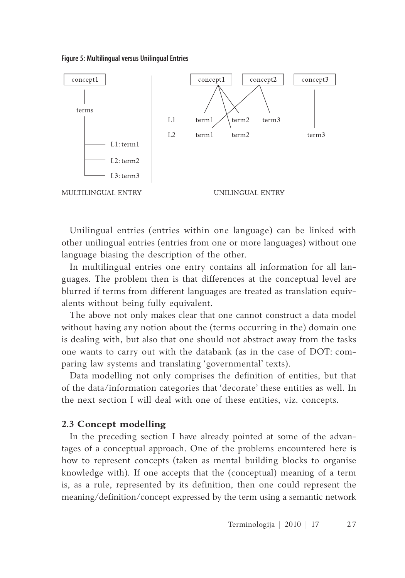**Figure 5: Multilingual versus Unilingual Entries**



Unilingual entries (entries within one language) can be linked with other unilingual entries (entries from one or more languages) without one language biasing the description of the other.

In multilingual entries one entry contains all information for all languages. The problem then is that differences at the conceptual level are blurred if terms from different languages are treated as translation equivalents without being fully equivalent.

The above not only makes clear that one cannot construct a data model without having any notion about the (terms occurring in the) domain one is dealing with, but also that one should not abstract away from the tasks one wants to carry out with the databank (as in the case of DOT: comparing law systems and translating 'governmental' texts).

Data modelling not only comprises the definition of entities, but that of the data/information categories that 'decorate' these entities as well. In the next section I will deal with one of these entities, viz. concepts.

#### **2.3 Concept modelling**

In the preceding section I have already pointed at some of the advantages of a conceptual approach. One of the problems encountered here is how to represent concepts (taken as mental building blocks to organise knowledge with). If one accepts that the (conceptual) meaning of a term is, as a rule, represented by its definition, then one could represent the meaning/definition/concept expressed by the term using a semantic network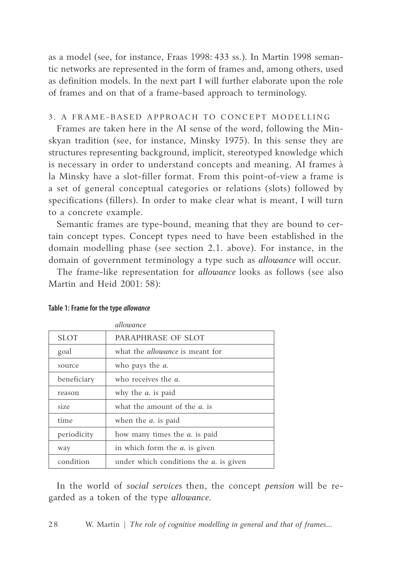as a model (see, for instance, Fraas 1998: 433 ss.). In Martin 1998 semantic networks are represented in the form of frames and, among others, used as definition models. In the next part I will further elaborate upon the role of frames and on that of a frame-based approach to terminology.

#### 3. A FRAME-BASED APPROACH TO CONCEPT MODELLING

Frames are taken here in the AI sense of the word, following the Minskyan tradition (see, for instance, Minsky 1975). In this sense they are structures representing background, implicit, stereotyped knowledge which is necessary in order to understand concepts and meaning. AI frames à la Minsky have a slot-filler format. From this point-of-view a frame is a set of general conceptual categories or relations (slots) followed by specifications (fillers). In order to make clear what is meant, I will turn to a concrete example.

Semantic frames are type-bound, meaning that they are bound to certain concept types. Concept types need to have been established in the domain modelling phase (see section 2.1. above). For instance, in the domain of government terminology a type such as *allowance* will occur.

The frame-like representation for *allowance* looks as follows (see also Martin and Heid 2001: 58):

|             | allowance                                      |
|-------------|------------------------------------------------|
| <b>SLOT</b> | PARAPHRASE OF SLOT                             |
| goal        | what the <i>allowance</i> is meant for         |
| source      | who pays the <i>a</i> .                        |
| beneficiary | who receives the <i>a</i> .                    |
| reason      | why the <i>a</i> . is paid                     |
| size        | what the amount of the <i>a</i> , is           |
| time        | when the <i>a</i> , is paid                    |
| periodicity | how many times the <i>a</i> . is paid          |
| way         | in which form the <i>a</i> . is given          |
| condition   | under which conditions the <i>a</i> . is given |

#### **Table 1: Frame for the type** *allowance*

In the world of *social services* then, the concept *pension* will be regarded as a token of the type *allowance*.

2 8 W. Martin | *The role of cognitive modelling in general and that of frames...*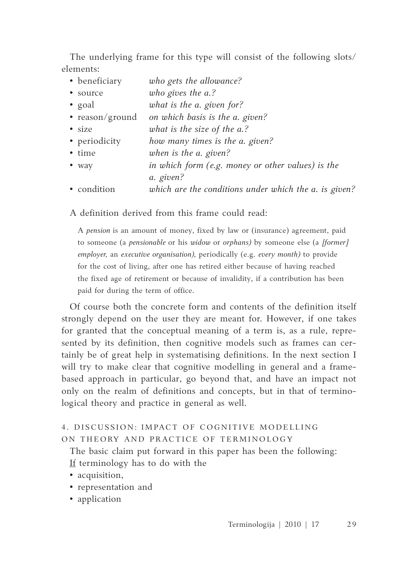The underlying frame for this type will consist of the following slots/ elements:

| • beneficiary   | who gets the allowance?                               |
|-----------------|-------------------------------------------------------|
| • source        | who gives the a.?                                     |
| • goal          | what is the a. given for?                             |
| • reason/ground | on which basis is the a. given?                       |
| • size          | what is the size of the a.?                           |
| • periodicity   | how many times is the a. given?                       |
| • time          | when is the a. given?                                 |
| • way           | in which form (e.g. money or other values) is the     |
|                 | a. given?                                             |
| • condition     | which are the conditions under which the a. is given? |

A definition derived from this frame could read:

A *pension* is an amount of money, fixed by law or (insurance) agreement, paid to someone (a *pensionable* or his *widow* or *orphans)* by someone else (a *[former] employer,* an *executive organisation),* periodically (e.g. *every month)* to provide for the cost of living, after one has retired either because of having reached the fixed age of retirement or because of invalidity, if a contribution has been paid for during the term of office.

Of course both the concrete form and contents of the definition itself strongly depend on the user they are meant for. However, if one takes for granted that the conceptual meaning of a term is, as a rule, represented by its definition, then cognitive models such as frames can certainly be of great help in systematising definitions. In the next section I will try to make clear that cognitive modelling in general and a framebased approach in particular, go beyond that, and have an impact not only on the realm of definitions and concepts, but in that of terminological theory and practice in general as well.

# 4. DISCUSSION: IMPACT OF COGNITIVE MODELLING ON THEORY AND PRACTICE OF TERMINOLOGY

The basic claim put forward in this paper has been the following: If terminology has to do with the

- acquisition,
- representation and
- application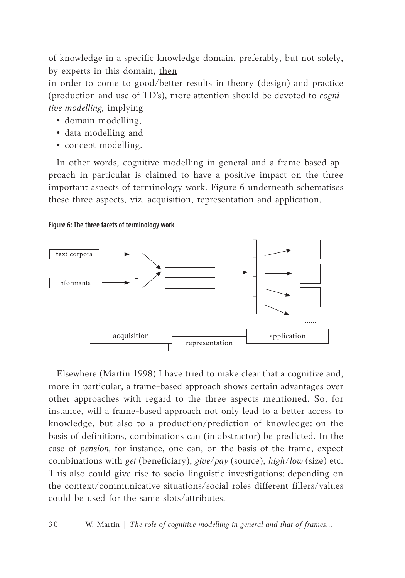of knowledge in a specific knowledge domain, preferably, but not solely, by experts in this domain, then

in order to come to good/better results in theory (design) and practice (production and use of TD's), more attention should be devoted to *cognitive modelling,* implying

- domain modelling,
- data modelling and
- concept modelling.

In other words, cognitive modelling in general and a frame-based approach in particular is claimed to have a positive impact on the three important aspects of terminology work. Figure 6 underneath schematises these three aspects, viz. acquisition, representation and application.

#### **Figure 6: The three facets of terminology work**



Elsewhere (Martin 1998) I have tried to make clear that a cognitive and, more in particular, a frame-based approach shows certain advantages over other approaches with regard to the three aspects mentioned. So, for instance, will a frame-based approach not only lead to a better access to knowledge, but also to a production/prediction of knowledge: on the basis of definitions, combinations can (in abstractor) be predicted. In the case of *pension,* for instance, one can, on the basis of the frame, expect combinations with *get* (beneficiary), *give/pay* (source), *high/low* (size) etc. This also could give rise to socio-linguistic investigations: depending on the context/communicative situations/social roles different fillers/values could be used for the same slots/attributes.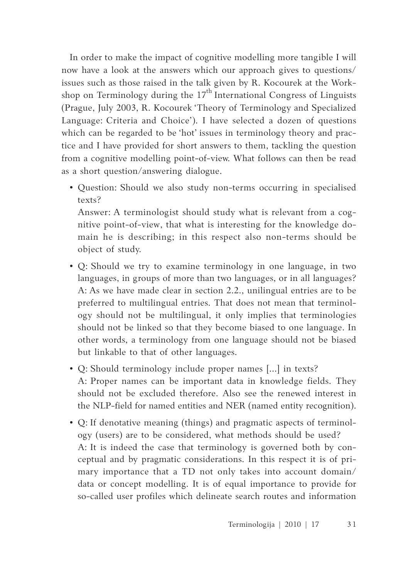In order to make the impact of cognitive modelling more tangible I will now have a look at the answers which our approach gives to questions/ issues such as those raised in the talk given by R. Kocourek at the Workshop on Terminology during the  $17<sup>th</sup>$  International Congress of Linguists (Prague, July 2003, R. Kocourek 'Theory of Terminology and Specialized Language: Criteria and Choice'). I have selected a dozen of questions which can be regarded to be 'hot' issues in terminology theory and practice and I have provided for short answers to them, tackling the question from a cognitive modelling point-of-view. What follows can then be read as a short question/answering dialogue.

• Question: Should we also study non-terms occurring in specialised texts?

Answer: A terminologist should study what is relevant from a cognitive point-of-view, that what is interesting for the knowledge domain he is describing; in this respect also non-terms should be object of study.

- Q: Should we try to examine terminology in one language, in two languages, in groups of more than two languages, or in all languages? A: As we have made clear in section 2.2., unilingual entries are to be preferred to multilingual entries. That does not mean that terminology should not be multilingual, it only implies that terminologies should not be linked so that they become biased to one language. In other words, a terminology from one language should not be biased but linkable to that of other languages.
- Q: Should terminology include proper names [...] in texts? A: Proper names can be important data in knowledge fields. They should not be excluded therefore. Also see the renewed interest in the NLP-field for named entities and NER (named entity recognition).
- Q: If denotative meaning (things) and pragmatic aspects of terminology (users) are to be considered, what methods should be used? A: It is indeed the case that terminology is governed both by conceptual and by pragmatic considerations. In this respect it is of primary importance that a TD not only takes into account domain/ data or concept modelling. It is of equal importance to provide for so-called user profiles which delineate search routes and information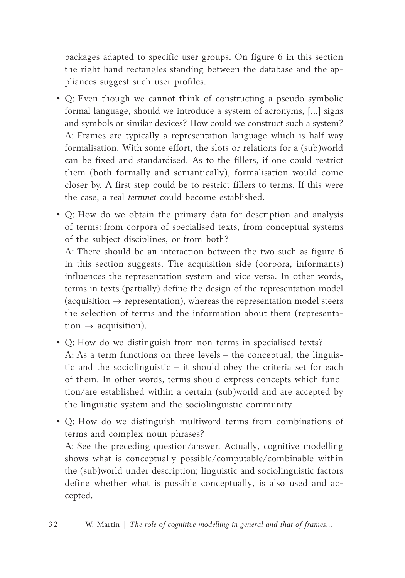packages adapted to specific user groups. On figure 6 in this section the right hand rectangles standing between the database and the appliances suggest such user profiles.

- Q: Even though we cannot think of constructing a pseudo-symbolic formal language, should we introduce a system of acronyms, [...] signs and symbols or similar devices? How could we construct such a system? A: Frames are typically a representation language which is half way formalisation. With some effort, the slots or relations for a (sub)world can be fixed and standardised. As to the fillers, if one could restrict them (both formally and semantically), formalisation would come closer by. A first step could be to restrict fillers to terms. If this were the case, a real *termnet* could become established.
- Q: How do we obtain the primary data for description and analysis of terms: from corpora of specialised texts, from conceptual systems of the subject disciplines, or from both?

A: There should be an interaction between the two such as figure 6 in this section suggests. The acquisition side (corpora, informants) influences the representation system and vice versa. In other words, terms in texts (partially) define the design of the representation model (acquisition  $\rightarrow$  representation), whereas the representation model steers the selection of terms and the information about them (representation  $\rightarrow$  acquisition).

- Q: How do we distinguish from non-terms in specialised texts? A: As a term functions on three levels – the conceptual, the linguistic and the sociolinguistic – it should obey the criteria set for each of them. In other words, terms should express concepts which function/are established within a certain (sub)world and are accepted by the linguistic system and the sociolinguistic community.
- Q: How do we distinguish multiword terms from combinations of terms and complex noun phrases?

A: See the preceding question/answer. Actually, cognitive modelling shows what is conceptually possible/computable/combinable within the (sub)world under description; linguistic and sociolinguistic factors define whether what is possible conceptually, is also used and accepted.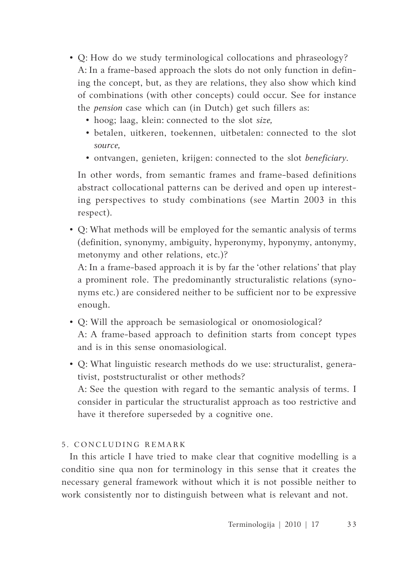- Q: How do we study terminological collocations and phraseology? A: In a frame-based approach the slots do not only function in defining the concept, but, as they are relations, they also show which kind of combinations (with other concepts) could occur. See for instance the *pension* case which can (in Dutch) get such fillers as:
	- hoog; laag, klein: connected to the slot *size,*
	- betalen, uitkeren, toekennen, uitbetalen: connected to the slot *source,*
	- ontvangen, genieten, krijgen: connected to the slot *beneficiary.*

In other words, from semantic frames and frame-based definitions abstract collocational patterns can be derived and open up interesting perspectives to study combinations (see Martin 2003 in this respect).

• Q: What methods will be employed for the semantic analysis of terms (definition, synonymy, ambiguity, hyperonymy, hyponymy, antonymy, metonymy and other relations, etc.)?

A: In a frame-based approach it is by far the 'other relations' that play a prominent role. The predominantly structuralistic relations (synonyms etc.) are considered neither to be sufficient nor to be expressive enough.

- Q: Will the approach be semasiological or onomosiological? A: A frame-based approach to definition starts from concept types and is in this sense onomasiological.
- Q: What linguistic research methods do we use: structuralist, generativist, poststructuralist or other methods? A: See the question with regard to the semantic analysis of terms. I consider in particular the structuralist approach as too restrictive and have it therefore superseded by a cognitive one.

# 5. CONCLUDING REMARK

In this article I have tried to make clear that cognitive modelling is a conditio sine qua non for terminology in this sense that it creates the necessary general framework without which it is not possible neither to work consistently nor to distinguish between what is relevant and not.